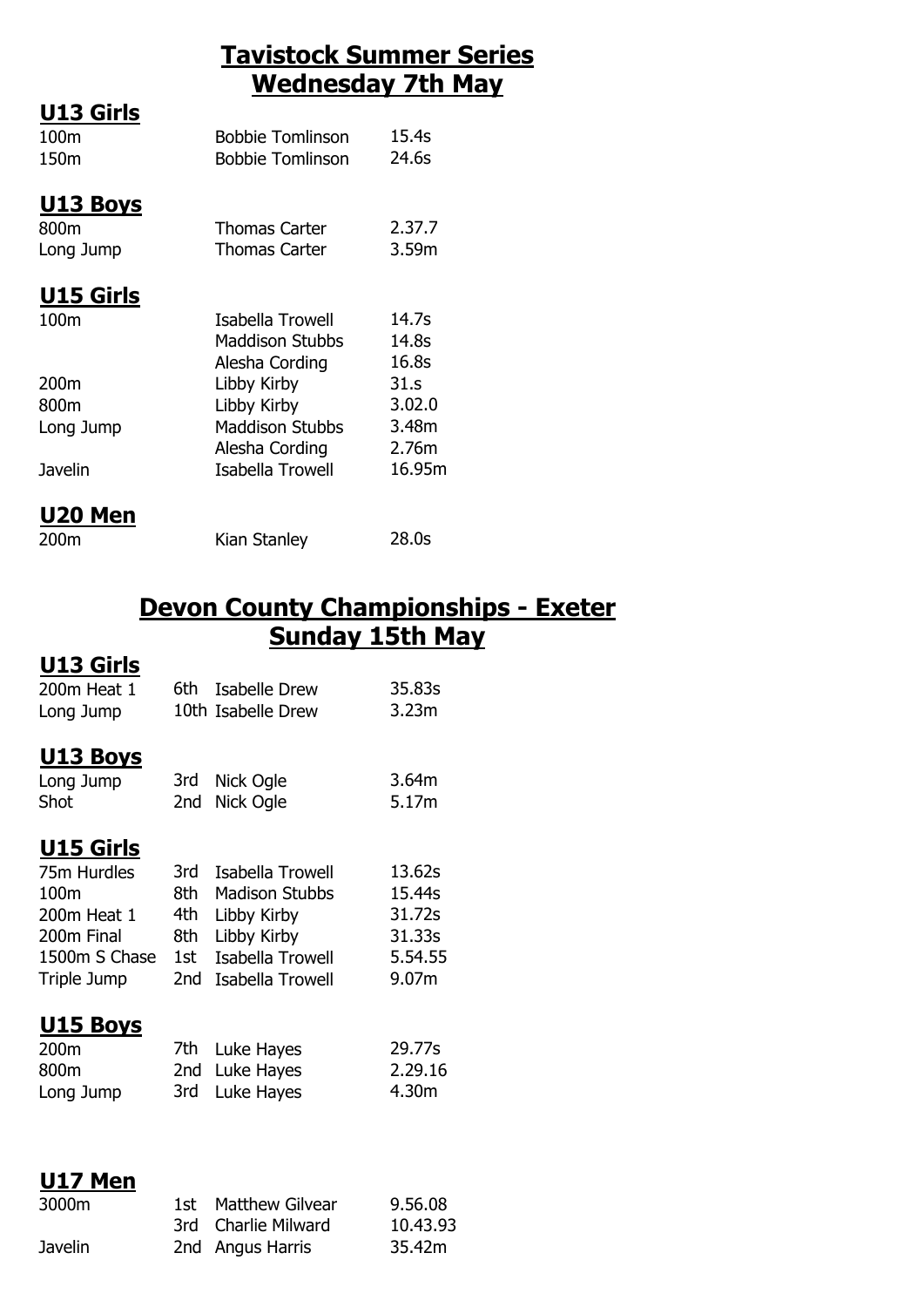## **Tavistock Summer Series Wednesday 7th May**

| <b>U13 Girls</b><br>100m<br>150m     | <b>Bobbie Tomlinson</b><br><b>Bobbie Tomlinson</b>                     | 15.4s<br>24.6s                            |
|--------------------------------------|------------------------------------------------------------------------|-------------------------------------------|
| <u>U13 Boys</u><br>800m<br>Long Jump | <b>Thomas Carter</b><br>Thomas Carter                                  | 2.37.7<br>3.59m                           |
| <b>U15 Girls</b><br>100m             | Isabella Trowell<br>Maddison Stubbs                                    | 14.7s<br>14.8s                            |
| 200m<br>800m<br>Long Jump            | Alesha Cording<br>Libby Kirby<br>Libby Kirby<br><b>Maddison Stubbs</b> | 16.8s<br>31.s<br>3.02.0<br>3.48m<br>2.76m |
| Javelin                              | Alesha Cording<br>Isabella Trowell                                     | 16.95m                                    |
| U20 Men                              |                                                                        |                                           |

| -------- |              |       |
|----------|--------------|-------|
| 200m     | Kian Stanley | 28.0s |

## **Devon County Championships - Exeter Sunday 15th May**

## **U13 Girls**

| 200m Heat 1<br>Long Jump                                                                             | 6th                                    | <b>Isabelle Drew</b><br>10th Isabelle Drew                                                                      | 35.83s<br>3.23m                                          |
|------------------------------------------------------------------------------------------------------|----------------------------------------|-----------------------------------------------------------------------------------------------------------------|----------------------------------------------------------|
| <u> U13 Boys</u><br>Long Jump<br>Shot                                                                | 3rd -<br>2nd                           | Nick Ogle<br>Nick Ogle                                                                                          | 3.64m<br>5.17m                                           |
| <u>U15 Girls</u><br>75m Hurdles<br>100m<br>200m Heat 1<br>200m Final<br>1500m S Chase<br>Triple Jump | 3rd<br>8th<br>4th<br>8th<br>1st<br>2nd | Isabella Trowell<br><b>Madison Stubbs</b><br>Libby Kirby<br>Libby Kirby<br>Isabella Trowell<br>Isabella Trowell | 13.62s<br>15.44s<br>31.72s<br>31.33s<br>5.54.55<br>9.07m |
| U15 Boys<br>200 <sub>m</sub><br>800m<br>Long Jump                                                    | 7th<br>2nd<br>3rd                      | Luke Hayes<br>Luke Hayes<br>Luke Hayes                                                                          | 29.77s<br>2.29.16<br>4.30m                               |
| U17 Men<br>3000m                                                                                     | 1st<br>3rd                             | <b>Matthew Gilvear</b><br>Charlie Milward                                                                       | 9.56.08<br>10.43.93                                      |

Javelin 2nd Angus Harris 35.42m